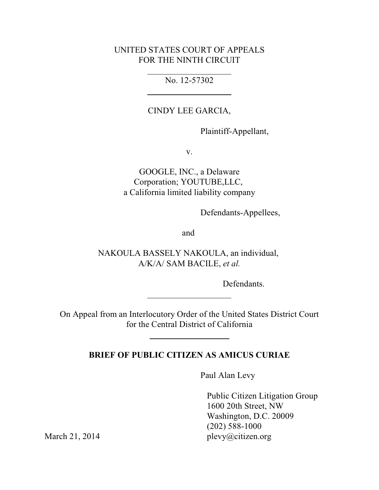## UNITED STATES COURT OF APPEALS FOR THE NINTH CIRCUIT

## No. 12-57302

## CINDY LEE GARCIA,

Plaintiff-Appellant,

v.

GOOGLE, INC., a Delaware Corporation; YOUTUBE,LLC, a California limited liability company

Defendants-Appellees,

and

NAKOULA BASSELY NAKOULA, an individual, A/K/A/ SAM BACILE, *et al.*

Defendants.

On Appeal from an Interlocutory Order of the United States District Court for the Central District of California

## **BRIEF OF PUBLIC CITIZEN AS AMICUS CURIAE**

Paul Alan Levy

 Public Citizen Litigation Group 1600 20th Street, NW Washington, D.C. 20009 (202) 588-1000 March 21, 2014 plevy@citizen.org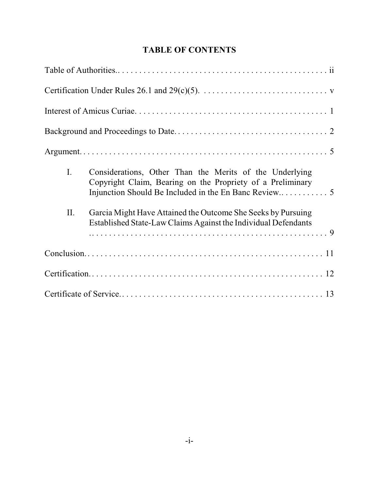|     | Certification Under Rules 26.1 and 29(c)(5). $\dots \dots \dots \dots \dots \dots \dots \dots \dots \dots$                     |
|-----|--------------------------------------------------------------------------------------------------------------------------------|
|     |                                                                                                                                |
|     |                                                                                                                                |
|     |                                                                                                                                |
| I.  | Considerations, Other Than the Merits of the Underlying<br>Copyright Claim, Bearing on the Propriety of a Preliminary          |
| II. | Garcia Might Have Attained the Outcome She Seeks by Pursuing<br>Established State-Law Claims Against the Individual Defendants |
|     |                                                                                                                                |
|     |                                                                                                                                |
|     |                                                                                                                                |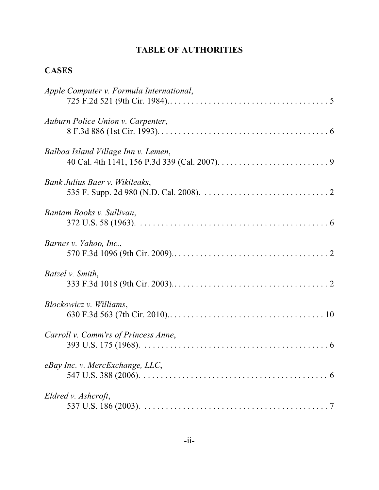# **TABLE OF AUTHORITIES**

# **CASES**

| Apple Computer v. Formula International, |
|------------------------------------------|
| Auburn Police Union v. Carpenter,        |
| Balboa Island Village Inn v. Lemen,      |
| Bank Julius Baer v. Wikileaks,           |
| Bantam Books v. Sullivan,                |
| Barnes v. Yahoo, Inc.,                   |
| Batzel v. Smith,                         |
| Blockowicz v. Williams,                  |
| Carroll v. Comm'rs of Princess Anne,     |
| eBay Inc. v. MercExchange, LLC,          |
| Eldred v. Ashcroft,                      |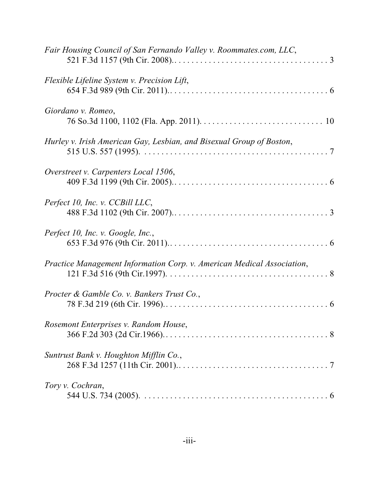| Fair Housing Council of San Fernando Valley v. Roommates.com, LLC,     |
|------------------------------------------------------------------------|
| Flexible Lifeline System v. Precision Lift,                            |
| Giordano v. Romeo,                                                     |
| Hurley v. Irish American Gay, Lesbian, and Bisexual Group of Boston,   |
| Overstreet v. Carpenters Local 1506,                                   |
| Perfect 10, Inc. v. CCBill LLC,                                        |
| Perfect 10, Inc. v. Google, Inc.,                                      |
| Practice Management Information Corp. v. American Medical Association, |
| Procter & Gamble Co. v. Bankers Trust Co.,                             |
| Rosemont Enterprises v. Random House,                                  |
| Suntrust Bank v. Houghton Mifflin Co.,                                 |
| Tory v. Cochran,                                                       |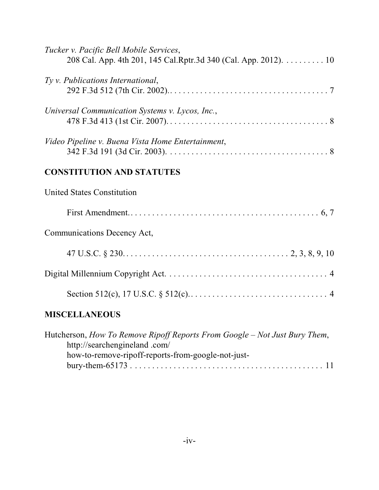| Tucker v. Pacific Bell Mobile Services,<br>208 Cal. App. 4th 201, 145 Cal.Rptr.3d 340 (Cal. App. 2012). 10 |
|------------------------------------------------------------------------------------------------------------|
| Ty v. Publications International,                                                                          |
| Universal Communication Systems v. Lycos, Inc.,                                                            |
| Video Pipeline v. Buena Vista Home Entertainment,                                                          |
| <b>CONSTITUTION AND STATUTES</b>                                                                           |
| <b>United States Constitution</b>                                                                          |
|                                                                                                            |
| Communications Decency Act,                                                                                |
|                                                                                                            |
|                                                                                                            |
|                                                                                                            |
| <b>MISCELLANEOUS</b>                                                                                       |

| Hutcherson, How To Remove Ripoff Reports From Google – Not Just Bury Them, |  |
|----------------------------------------------------------------------------|--|
| http://searchengineland.com/                                               |  |
| how-to-remove-ripoff-reports-from-google-not-just-                         |  |
|                                                                            |  |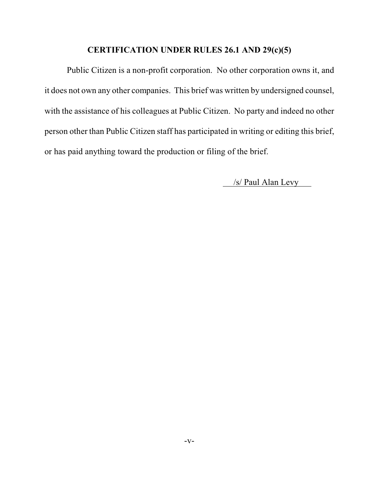### **CERTIFICATION UNDER RULES 26.1 AND 29(c)(5)**

Public Citizen is a non-profit corporation. No other corporation owns it, and it does not own any other companies. This brief was written by undersigned counsel, with the assistance of his colleagues at Public Citizen. No party and indeed no other person other than Public Citizen staff has participated in writing or editing this brief, or has paid anything toward the production or filing of the brief.

/s/ Paul Alan Levy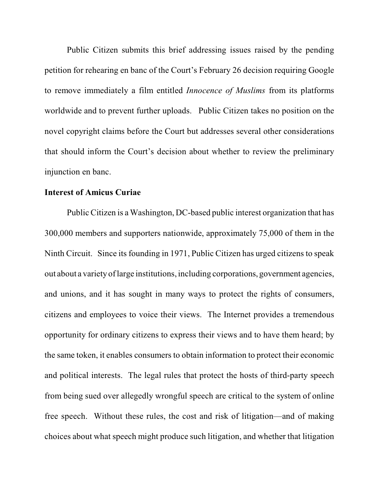Public Citizen submits this brief addressing issues raised by the pending petition for rehearing en banc of the Court's February 26 decision requiring Google to remove immediately a film entitled *Innocence of Muslims* from its platforms worldwide and to prevent further uploads. Public Citizen takes no position on the novel copyright claims before the Court but addresses several other considerations that should inform the Court's decision about whether to review the preliminary injunction en banc.

#### **Interest of Amicus Curiae**

Public Citizen is a Washington, DC-based public interest organization that has 300,000 members and supporters nationwide, approximately 75,000 of them in the Ninth Circuit. Since its founding in 1971, Public Citizen has urged citizens to speak out about a variety of large institutions, including corporations, government agencies, and unions, and it has sought in many ways to protect the rights of consumers, citizens and employees to voice their views. The Internet provides a tremendous opportunity for ordinary citizens to express their views and to have them heard; by the same token, it enables consumers to obtain information to protect their economic and political interests. The legal rules that protect the hosts of third-party speech from being sued over allegedly wrongful speech are critical to the system of online free speech. Without these rules, the cost and risk of litigation—and of making choices about what speech might produce such litigation, and whether that litigation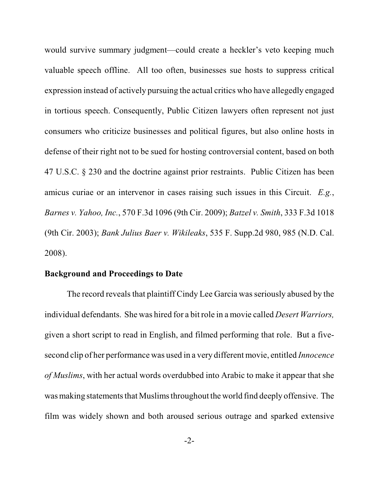would survive summary judgment—could create a heckler's veto keeping much valuable speech offline. All too often, businesses sue hosts to suppress critical expression instead of actively pursuing the actual critics who have allegedly engaged in tortious speech. Consequently, Public Citizen lawyers often represent not just consumers who criticize businesses and political figures, but also online hosts in defense of their right not to be sued for hosting controversial content, based on both 47 U.S.C. § 230 and the doctrine against prior restraints. Public Citizen has been amicus curiae or an intervenor in cases raising such issues in this Circuit. *E.g.*, *Barnes v. Yahoo, Inc.*, 570 F.3d 1096 (9th Cir. 2009); *Batzel v. Smith*, 333 F.3d 1018 (9th Cir. 2003); *Bank Julius Baer v. Wikileaks*, 535 F. Supp.2d 980, 985 (N.D. Cal. 2008).

#### **Background and Proceedings to Date**

The record reveals that plaintiff Cindy Lee Garcia was seriously abused by the individual defendants. She was hired for a bit role in a movie called *Desert Warriors,* given a short script to read in English, and filmed performing that role. But a fivesecond clip of her performance was used in a very different movie, entitled *Innocence of Muslims*, with her actual words overdubbed into Arabic to make it appear that she was making statements that Muslims throughout the world find deeply offensive. The film was widely shown and both aroused serious outrage and sparked extensive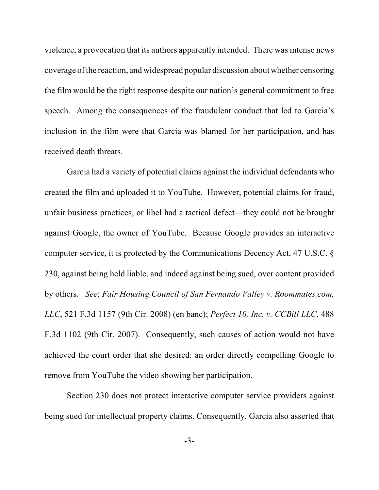violence, a provocation that its authors apparently intended. There was intense news coverage of the reaction, and widespread popular discussion about whether censoring the film would be the right response despite our nation's general commitment to free speech. Among the consequences of the fraudulent conduct that led to Garcia's inclusion in the film were that Garcia was blamed for her participation, and has received death threats.

Garcia had a variety of potential claims against the individual defendants who created the film and uploaded it to YouTube. However, potential claims for fraud, unfair business practices, or libel had a tactical defect—they could not be brought against Google, the owner of YouTube. Because Google provides an interactive computer service, it is protected by the Communications Decency Act, 47 U.S.C. § 230, against being held liable, and indeed against being sued, over content provided by others. *See*; *Fair Housing Council of San Fernando Valley v. Roommates.com, LLC*, 521 F.3d 1157 (9th Cir. 2008) (en banc); *Perfect 10, Inc. v. CCBill LLC*, 488 F.3d 1102 (9th Cir. 2007). Consequently, such causes of action would not have achieved the court order that she desired: an order directly compelling Google to remove from YouTube the video showing her participation.

Section 230 does not protect interactive computer service providers against being sued for intellectual property claims. Consequently, Garcia also asserted that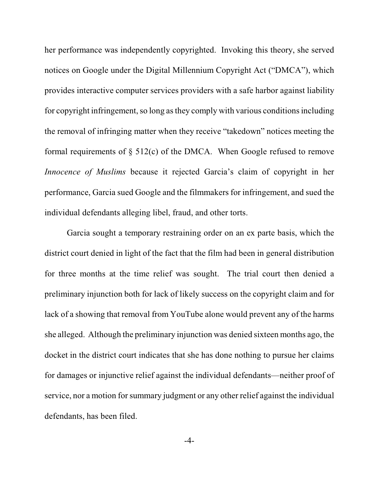her performance was independently copyrighted. Invoking this theory, she served notices on Google under the Digital Millennium Copyright Act ("DMCA"), which provides interactive computer services providers with a safe harbor against liability for copyright infringement, so long as they comply with various conditions including the removal of infringing matter when they receive "takedown" notices meeting the formal requirements of  $\S$  512(c) of the DMCA. When Google refused to remove *Innocence of Muslims* because it rejected Garcia's claim of copyright in her performance, Garcia sued Google and the filmmakers for infringement, and sued the individual defendants alleging libel, fraud, and other torts.

Garcia sought a temporary restraining order on an ex parte basis, which the district court denied in light of the fact that the film had been in general distribution for three months at the time relief was sought. The trial court then denied a preliminary injunction both for lack of likely success on the copyright claim and for lack of a showing that removal from YouTube alone would prevent any of the harms she alleged. Although the preliminary injunction was denied sixteen months ago, the docket in the district court indicates that she has done nothing to pursue her claims for damages or injunctive relief against the individual defendants—neither proof of service, nor a motion for summary judgment or any other relief against the individual defendants, has been filed.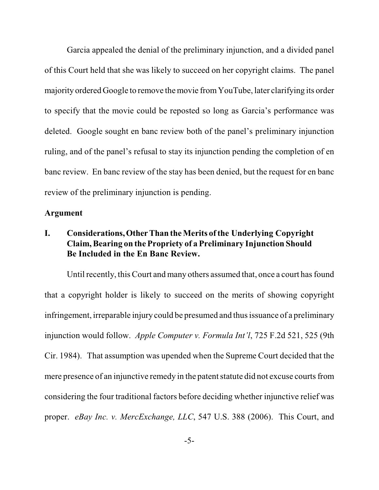Garcia appealed the denial of the preliminary injunction, and a divided panel of this Court held that she was likely to succeed on her copyright claims. The panel majority ordered Google to remove the movie from YouTube, later clarifying its order to specify that the movie could be reposted so long as Garcia's performance was deleted. Google sought en banc review both of the panel's preliminary injunction ruling, and of the panel's refusal to stay its injunction pending the completion of en banc review. En banc review of the stay has been denied, but the request for en banc review of the preliminary injunction is pending.

#### **Argument**

## **I. Considerations, Other Than the Merits of the Underlying Copyright Claim, Bearing on the Propriety of a Preliminary Injunction Should Be Included in the En Banc Review.**

Until recently, this Court and many others assumed that, once a court has found that a copyright holder is likely to succeed on the merits of showing copyright infringement, irreparable injury could be presumed and thus issuance of a preliminary injunction would follow. *Apple Computer v. Formula Int'l*, 725 F.2d 521, 525 (9th Cir. 1984). That assumption was upended when the Supreme Court decided that the mere presence of an injunctive remedy in the patent statute did not excuse courts from considering the four traditional factors before deciding whether injunctive relief was proper. *eBay Inc. v. MercExchange, LLC*, 547 U.S. 388 (2006). This Court, and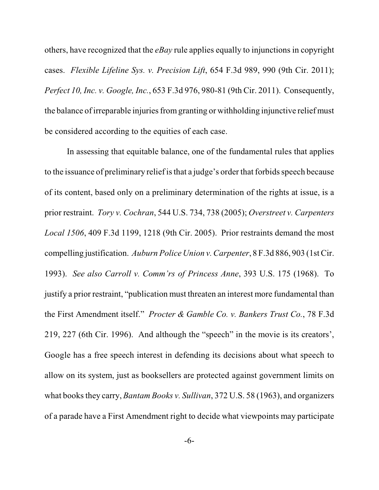others, have recognized that the *eBay* rule applies equally to injunctions in copyright cases. *Flexible Lifeline Sys. v. Precision Lift*, 654 F.3d 989, 990 (9th Cir. 2011); *Perfect 10, Inc. v. Google, Inc.*, 653 F.3d 976, 980-81 (9th Cir. 2011). Consequently, the balance ofirreparable injuries fromgranting or withholding injunctive relief must be considered according to the equities of each case.

In assessing that equitable balance, one of the fundamental rules that applies to the issuance of preliminary relief is that a judge's order that forbids speech because of its content, based only on a preliminary determination of the rights at issue, is a prior restraint. *Tory v. Cochran*, 544 U.S. 734, 738 (2005); *Overstreet v. Carpenters Local 1506*, 409 F.3d 1199, 1218 (9th Cir. 2005). Prior restraints demand the most compelling justification. *Auburn Police Union v. Carpenter*, 8 F.3d 886, 903 (1st Cir. 1993). *See also Carroll v. Comm'rs of Princess Anne*, 393 U.S. 175 (1968). To justify a prior restraint, "publication must threaten an interest more fundamental than the First Amendment itself." *Procter & Gamble Co. v. Bankers Trust Co.*, 78 F.3d 219, 227 (6th Cir. 1996). And although the "speech" in the movie is its creators', Google has a free speech interest in defending its decisions about what speech to allow on its system, just as booksellers are protected against government limits on what books they carry, *Bantam Books v. Sullivan*, 372 U.S. 58 (1963), and organizers of a parade have a First Amendment right to decide what viewpoints may participate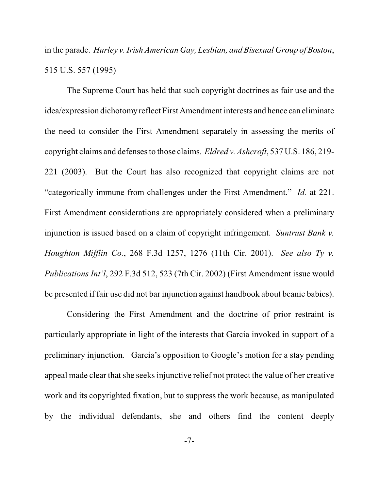in the parade. *Hurley v.Irish American Gay, Lesbian, and Bisexual Group of Boston*, 515 U.S. 557 (1995)

The Supreme Court has held that such copyright doctrines as fair use and the idea/expression dichotomy reflect First Amendment interests and hence can eliminate the need to consider the First Amendment separately in assessing the merits of copyright claims and defenses to those claims. *Eldred v. Ashcroft*, 537 U.S. 186, 219- 221 (2003). But the Court has also recognized that copyright claims are not "categorically immune from challenges under the First Amendment." *Id.* at 221. First Amendment considerations are appropriately considered when a preliminary injunction is issued based on a claim of copyright infringement. *Suntrust Bank v. Houghton Mifflin Co.*, 268 F.3d 1257, 1276 (11th Cir. 2001). *See also Ty v. Publications Int'l*, 292 F.3d 512, 523 (7th Cir. 2002) (First Amendment issue would be presented if fair use did not bar injunction against handbook about beanie babies).

Considering the First Amendment and the doctrine of prior restraint is particularly appropriate in light of the interests that Garcia invoked in support of a preliminary injunction. Garcia's opposition to Google's motion for a stay pending appeal made clear that she seeks injunctive relief not protect the value of her creative work and its copyrighted fixation, but to suppress the work because, as manipulated by the individual defendants, she and others find the content deeply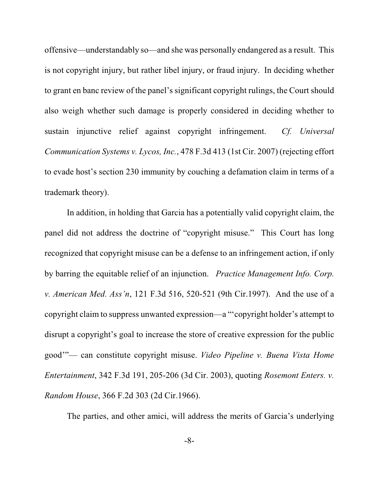offensive—understandably so—and she was personally endangered as a result. This is not copyright injury, but rather libel injury, or fraud injury. In deciding whether to grant en banc review of the panel's significant copyright rulings, the Court should also weigh whether such damage is properly considered in deciding whether to sustain injunctive relief against copyright infringement. *Cf. Universal Communication Systems v. Lycos, Inc.*, 478 F.3d 413 (1st Cir. 2007) (rejecting effort to evade host's section 230 immunity by couching a defamation claim in terms of a trademark theory).

In addition, in holding that Garcia has a potentially valid copyright claim, the panel did not address the doctrine of "copyright misuse." This Court has long recognized that copyright misuse can be a defense to an infringement action, if only by barring the equitable relief of an injunction. *Practice Management Info. Corp. v. American Med. Ass'n*, 121 F.3d 516, 520-521 (9th Cir.1997). And the use of a copyright claim to suppress unwanted expression—a "'copyright holder's attempt to disrupt a copyright's goal to increase the store of creative expression for the public good'"— can constitute copyright misuse. *Video Pipeline v. Buena Vista Home Entertainment*, 342 F.3d 191, 205-206 (3d Cir. 2003), quoting *Rosemont Enters. v. Random House*, 366 F.2d 303 (2d Cir.1966).

The parties, and other amici, will address the merits of Garcia's underlying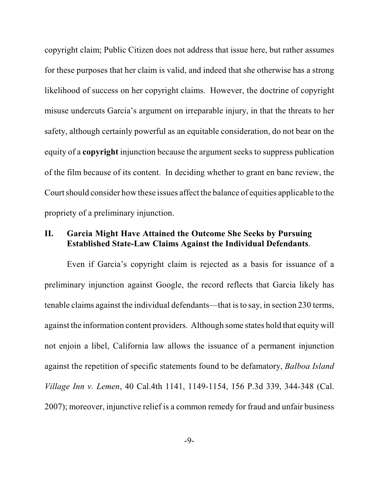copyright claim; Public Citizen does not address that issue here, but rather assumes for these purposes that her claim is valid, and indeed that she otherwise has a strong likelihood of success on her copyright claims. However, the doctrine of copyright misuse undercuts Garcia's argument on irreparable injury, in that the threats to her safety, although certainly powerful as an equitable consideration, do not bear on the equity of a **copyright** injunction because the argument seeks to suppress publication of the film because of its content. In deciding whether to grant en banc review, the Court should consider how these issues affect the balance of equities applicable to the propriety of a preliminary injunction.

## **II. Garcia Might Have Attained the Outcome She Seeks by Pursuing Established State-Law Claims Against the Individual Defendants**.

Even if Garcia's copyright claim is rejected as a basis for issuance of a preliminary injunction against Google, the record reflects that Garcia likely has tenable claims against the individual defendants—that is to say, in section 230 terms, against the information content providers. Although some states hold that equity will not enjoin a libel, California law allows the issuance of a permanent injunction against the repetition of specific statements found to be defamatory, *Balboa Island Village Inn v. Lemen*, 40 Cal.4th 1141, 1149-1154, 156 P.3d 339, 344-348 (Cal. 2007); moreover, injunctive relief is a common remedy for fraud and unfair business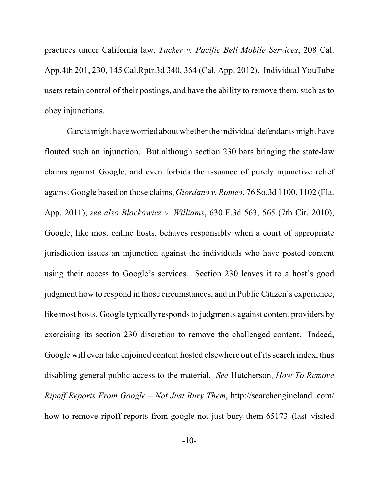practices under California law. *Tucker v. Pacific Bell Mobile Services*, 208 Cal. App.4th 201, 230, 145 Cal.Rptr.3d 340, 364 (Cal. App. 2012). Individual YouTube users retain control of their postings, and have the ability to remove them, such as to obey injunctions.

Garcia might have worried about whether the individual defendants might have flouted such an injunction. But although section 230 bars bringing the state-law claims against Google, and even forbids the issuance of purely injunctive relief against Google based on those claims, *Giordano v. Romeo*, 76 So.3d 1100, 1102 (Fla. App. 2011), *see also Blockowicz v. Williams*, 630 F.3d 563, 565 (7th Cir. 2010), Google, like most online hosts, behaves responsibly when a court of appropriate jurisdiction issues an injunction against the individuals who have posted content using their access to Google's services. Section 230 leaves it to a host's good judgment how to respond in those circumstances, and in Public Citizen's experience, like most hosts, Google typically responds to judgments against content providers by exercising its section 230 discretion to remove the challenged content. Indeed, Google will even take enjoined content hosted elsewhere out of its search index, thus disabling general public access to the material. *See* Hutcherson, *How To Remove Ripoff Reports From Google – Not Just Bury Them*, http://searchengineland .com/ how-to-remove-ripoff-reports-from-google-not-just-bury-them-65173 (last visited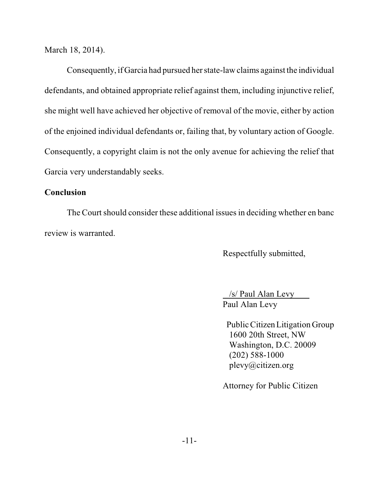March 18, 2014).

Consequently, if Garcia had pursued her state-law claims against the individual defendants, and obtained appropriate relief against them, including injunctive relief, she might well have achieved her objective of removal of the movie, either by action of the enjoined individual defendants or, failing that, by voluntary action of Google. Consequently, a copyright claim is not the only avenue for achieving the relief that Garcia very understandably seeks.

### **Conclusion**

The Court should consider these additional issues in deciding whether en banc review is warranted.

Respectfully submitted,

 /s/ Paul Alan Levy Paul Alan Levy

 Public Citizen Litigation Group 1600 20th Street, NW Washington, D.C. 20009 (202) 588-1000 plevy@citizen.org

Attorney for Public Citizen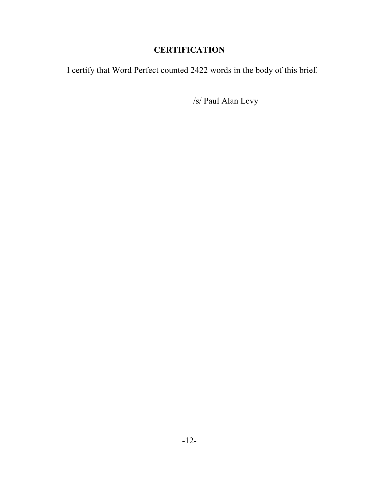# **CERTIFICATION**

I certify that Word Perfect counted 2422 words in the body of this brief.

/s/ Paul Alan Levy